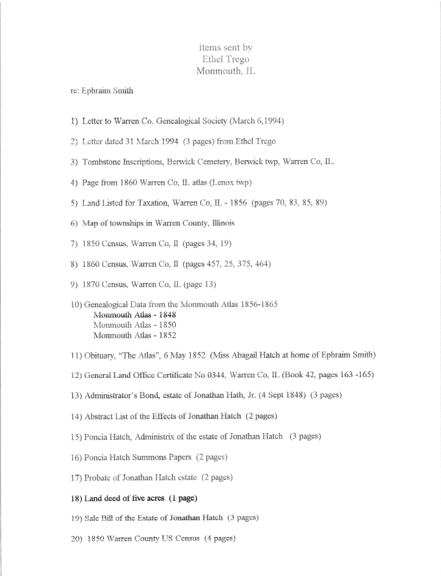## Items sent by Ethel Trego Monmouth. IL

re: Ephraim Smith

- 1) Letter to Warren Co. Genealogical Society (March 6,1994)
- 2) Letter dated 31 March 1994 (3 pages) from Ethel Trego
- 3) Tombstone Inscriptions, Berwick Cemetery, Berwick twp, Warren Co, IL.
- 4) Page from 1860 Warren Co, IL atlas (Lenox twp)
- 5) Land Listed for Taxation, Warren Co, IL 1856 (pages 70, 83, 85, 89)
- 6) Map of townships in Warren County, Illinois
- 7) 1850 Census, Warren Co, Il (pages 34, 19)
- 8) 1860 Census, Warren Co, Il (pages 457, 25, 375, 464)
- 9) 1870 Census, Warren Co, IL (page 13)
- 10) Genealogical Data from the Monmouth Atlas 1856-1865 Monmouth Atlas - 1848 Monmouth Atlas - 1850 Monmouth Atlas - 1852
- 11) Obituary. "The Atlas", 6 May 1852 (Miss Abagail Hatch at home of Ephraim Smith)
- 12) General Land Office Certificate No 0344, Warren Co, IL (Book 42, pages 163 -165)
- 13) Administrator's Bond, estate of Jonathan Hath, Jr. (4 Sept 1848) (3 pages)
- 14) Abstract List of the Effects of Jonathan Hatch (2 pages)
- 15) Poncia Hatch, Administrix of the estate of Jonathan Hatch (3 pages)
- 16) Poncia Hatch Summons Papers (2 pages)
- 17) Probate of Jonathan Hatch estate (2 pages)

## 18) Land deed of five acres (1 page)

- 19) Sale Bill of the Estate of Jonathan Hatch (3 pages)
- 20) 1850 Warren County US Census (4 pages)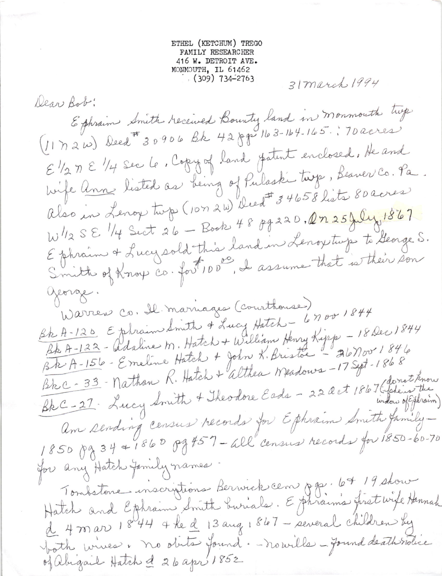ETHEL (KETCHUM) TREGO FAMILY RESEARCHER 416 W. DETROIT AVE. MONMOUTH, IL 61462  $(309)$  734–2763

31 march 1994

Dear Bob: Ephraim Smith received Bounty land in monmouth tup E 1/2 M E 1/4 sec le, Copy of land fatent enclosed, He and hife <u>Ann</u> listed as being of Pulaski tuzo, Beauer Co. Pa. Also in Lenoy tup (107 2W) Deed # 34658 lists 80 acres W1/2 SE 1/4 Sect 26 - Book 48 89220, 2n 25July 1867 Ephrain & Lucy sold this land in Lenoy tups to George S.<br>Smitt of Knox Co. fort 100, I assume that is their son george. Warren Co. Il marriages (courthouse) Bh A-120 Ephrain Smith & Lucy Hatch - 6700 1844 Bb A-122 - Adaline M. Hatch + William Henry Kipp - 18 Dec 1844 BRC-27 Lucy Smith + Theodore Eads - 22 det 1867 (Sonot know am sending census records for Ephraim Smith family-1850 pg 34 + 1860 pg 457 - all census records for 1850-60-70 for any Hatch Jamily names. Tombstone inscriptions Berwick cen Off. 67/9 show Hatch and Ephraim Smith buriale. Ephraims first wife Hannah d 4 mars 1844 4 he d 13 aug 1867 - several children by both unives. no obits found. - nouille - found death sidice